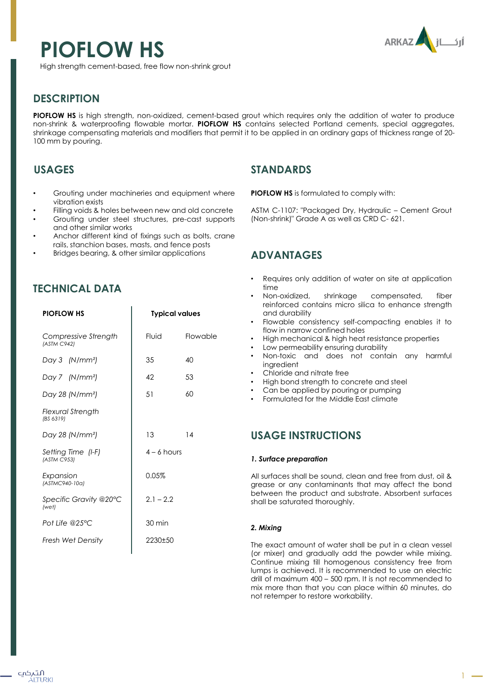# **PIOFLOW HS**



High strength cement-based, free flow non-shrink grout

# **DESCRIPTION**

**PIOFLOW HS** is high strength, non-oxidized, cement-based grout which requires only the addition of water to produce non-shrink & waterproofing flowable mortar. **PIOFLOW HS** contains selected Portland cements, special aggregates, shrinkage compensating materials and modifiers that permit it to be applied in an ordinary gaps of thickness range of 20- 100 mm by pouring.

# **USAGES**

- Grouting under machineries and equipment where vibration exists
- Filling voids & holes between new and old concrete
- Grouting under steel structures, pre-cast supports and other similar works
- Anchor different kind of fixings such as bolts, crane rails, stanchion bases, masts, and fence posts
- Bridges bearing, & other similar applications

# **TECHNICAL DATA**

| <b>PIOFLOW HS</b>                   | <b>Typical values</b> |          |
|-------------------------------------|-----------------------|----------|
| Compressive Strength<br>(ASTM C942) | Fluid                 | Flowable |
| Day 3 (N/mm <sup>2</sup> )          | 35                    | 40       |
| Day 7 (N/mm <sup>2</sup> )          | 42                    | 53       |
| Day 28 (N/mm <sup>2</sup> )         | 51                    | 60       |
| Flexural Strength<br>(BS 6319)      |                       |          |
| Day 28 (N/mm <sup>2</sup> )         | 13                    | 14       |
| Setting Time (I-F)<br>(ASTM C953)   | $4 - 6$ hours         |          |
| Expansion<br>(ASTMC940-10a)         | 0.05%                 |          |
| Specific Gravity @20°C<br>(wet)     | $2.1 - 2.2$           |          |
| Pot Life @25°C                      | $30 \text{ min}$      |          |
| <b>Fresh Wet Density</b>            | 2230±50               |          |

## **STANDARDS**

**PIOFLOW HS** is formulated to comply with:

ASTM C-1107: "Packaged Dry, Hydraulic – Cement Grout (Non-shrink)" Grade A as well as CRD C- 621.

## **ADVANTAGES**

- Requires only addition of water on site at application time
- Non-oxidized, shrinkage compensated, fiber reinforced contains micro silica to enhance strength and durability
- Flowable consistency self-compacting enables it to flow in narrow confined holes
- High mechanical & high heat resistance properties
- Low permeability ensuring durability
- Non-toxic and does not contain any harmful ingredient
- Chloride and nitrate free
- High bond strength to concrete and steel
- Can be applied by pouring or pumping
- Formulated for the Middle East climate

## **USAGE INSTRUCTIONS**

#### *1. Surface preparation*

All surfaces shall be sound, clean and free from dust, oil & grease or any contaminants that may affect the bond between the product and substrate. Absorbent surfaces shall be saturated thoroughly.

#### *2. Mixing*

The exact amount of water shall be put in a clean vessel (or mixer) and gradually add the powder while mixing. Continue mixing till homogenous consistency free from lumps is achieved. It is recommended to use an electric drill of maximum 400 – 500 rpm. It is not recommended to mix more than that you can place within 60 minutes, do not retemper to restore workability.